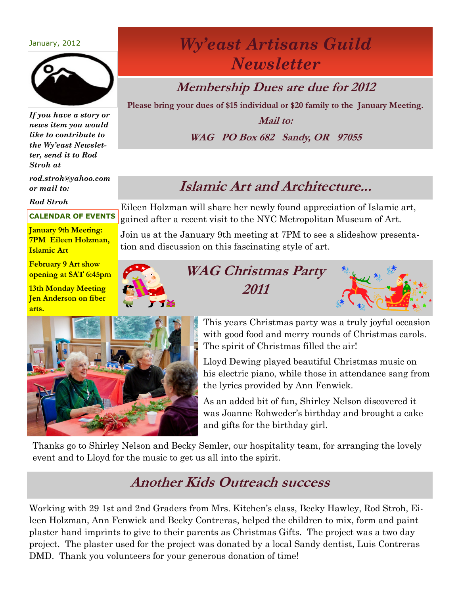#### January, 2012



*If you have a story or news item you would like to contribute to the Wy'east Newsletter, send it to Rod Stroh at*

*rod.stroh@yahoo.com or mail to:*

*Rod Stroh*

#### **CALENDAR OF EVENTS**

**January 9th Meeting: 7PM Eileen Holzman, Islamic Art**

**February 9 Art show opening at SAT 6:45pm**

**13th Monday Meeting Jen Anderson on fiber arts.**



#### **Membership Dues are due for 2012**

**Please bring your dues of \$15 individual or \$20 family to the January Meeting.**

**Mail to: WAG PO Box 682 Sandy, OR 97055**

#### **Islamic Art and Architecture...**

Eileen Holzman will share her newly found appreciation of Islamic art, gained after a recent visit to the NYC Metropolitan Museum of Art.

Join us at the January 9th meeting at 7PM to see a slideshow presentation and discussion on this fascinating style of art.



**WAG Christmas Party 2011**





This years Christmas party was a truly joyful occasion with good food and merry rounds of Christmas carols. The spirit of Christmas filled the air!

Lloyd Dewing played beautiful Christmas music on his electric piano, while those in attendance sang from the lyrics provided by Ann Fenwick.

As an added bit of fun, Shirley Nelson discovered it was Joanne Rohweder's birthday and brought a cake and gifts for the birthday girl.

Thanks go to Shirley Nelson and Becky Semler, our hospitality team, for arranging the lovely event and to Lloyd for the music to get us all into the spirit.

### **Another Kids Outreach success**

Working with 29 1st and 2nd Graders from Mrs. Kitchen's class, Becky Hawley, Rod Stroh, Eileen Holzman, Ann Fenwick and Becky Contreras, helped the children to mix, form and paint plaster hand imprints to give to their parents as Christmas Gifts. The project was a two day project. The plaster used for the project was donated by a local Sandy dentist, Luis Contreras DMD. Thank you volunteers for your generous donation of time!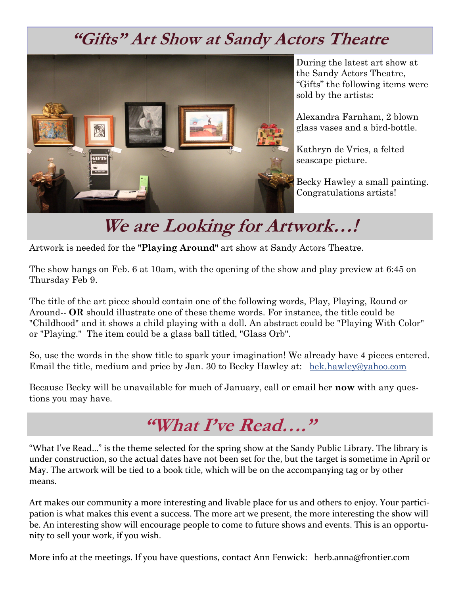## **"Gifts" Art Show at Sandy Actors Theatre**



I

During the latest art show at the Sandy Actors Theatre, "Gifts" the following items were sold by the artists:

Alexandra Farnham, 2 blown glass vases and a bird-bottle.

Kathryn de Vries, a felted seascape picture.

Becky Hawley a small painting. Congratulations artists!

# **We are Looking for Artwork…!**

Artwork is needed for the **"Playing Around"** art show at Sandy Actors Theatre.

The show hangs on Feb. 6 at 10am, with the opening of the show and play preview at 6:45 on Thursday Feb 9.

The title of the art piece should contain one of the following words, Play, Playing, Round or Around-- **OR** should illustrate one of these theme words. For instance, the title could be "Childhood" and it shows a child playing with a doll. An abstract could be "Playing With Color" or "Playing." The item could be a glass ball titled, "Glass Orb".

So, use the words in the show title to spark your imagination! We already have 4 pieces entered. Email the title, medium and price by Jan. 30 to Becky Hawley at: [bek.hawley@yahoo.com](mailto:bek.hawley@yahoo.com)

Because Becky will be unavailable for much of January, call or email her **now** with any questions you may have.



"What I've Read…" is the theme selected for the spring show at the Sandy Public Library. The library is under construction, so the actual dates have not been set for the, but the target is sometime in April or May. The artwork will be tied to a book title, which will be on the accompanying tag or by other means.

Art makes our community a more interesting and livable place for us and others to enjoy. Your participation is what makes this event a success. The more art we present, the more interesting the show will be. An interesting show will encourage people to come to future shows and events. This is an opportunity to sell your work, if you wish.

More info at the meetings. If you have questions, contact Ann Fenwick: herb.anna@frontier.com